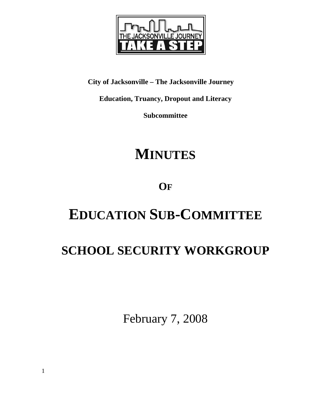

**City of Jacksonville – The Jacksonville Journey** 

**Education, Truancy, Dropout and Literacy** 

**Subcommittee** 

# **MINUTES**

# **OF**

# **EDUCATION SUB-COMMITTEE**

# **SCHOOL SECURITY WORKGROUP**

February 7, 2008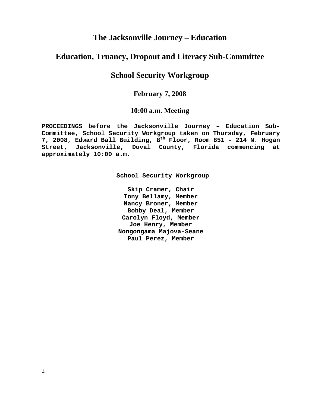# **The Jacksonville Journey – Education**

# **Education, Truancy, Dropout and Literacy Sub-Committee**

# **School Security Workgroup**

## **February 7, 2008**

### **10:00 a.m. Meeting**

**PROCEEDINGS before the Jacksonville Journey – Education Sub-Committee, School Security Workgroup taken on Thursday, February 7, 2008, Edward Ball Building, 8th Floor, Room 851 – 214 N. Hogan Street, Jacksonville, Duval County, Florida commencing at approximately 10:00 a.m.** 

**School Security Workgroup** 

**Skip Cramer, Chair Tony Bellamy, Member Nancy Broner, Member Bobby Deal, Member Carolyn Floyd, Member Joe Henry, Member Nongongama Majova-Seane Paul Perez, Member**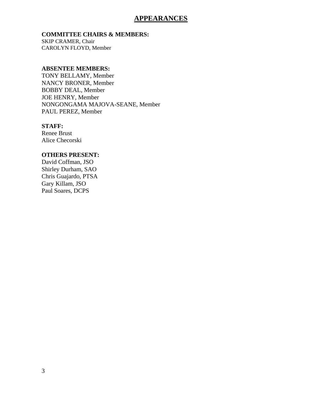## **APPEARANCES**

#### **COMMITTEE CHAIRS & MEMBERS:**

SKIP CRAMER, Chair CAROLYN FLOYD, Member

#### **ABSENTEE MEMBERS:**

TONY BELLAMY, Member NANCY BRONER, Member BOBBY DEAL, Member JOE HENRY, Member NONGONGAMA MAJOVA-SEANE, Member PAUL PEREZ, Member

#### **STAFF:**

Renee Brust Alice Checorski

### **OTHERS PRESENT:**

David Coffman, JSO Shirley Durham, SAO Chris Guajardo, PTSA Gary Killam, JSO Paul Soares, DCPS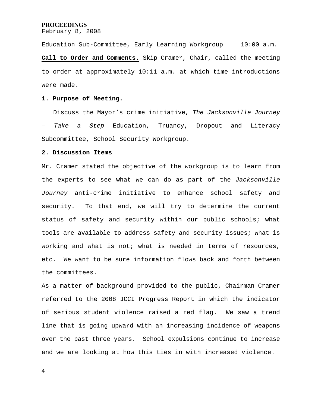February 8, 2008

Education Sub-Committee, Early Learning Workgroup 10:00 a.m. **Call to Order and Comments.** Skip Cramer, Chair, called the meeting to order at approximately 10:11 a.m. at which time introductions were made.

#### **1. Purpose of Meeting.**

 Discuss the Mayor's crime initiative, *The Jacksonville Journey – Take a Step* Education, Truancy, Dropout and Literacy Subcommittee, School Security Workgroup.

#### **2. Discussion Items**

Mr. Cramer stated the objective of the workgroup is to learn from the experts to see what we can do as part of the *Jacksonville Journey* anti-crime initiative to enhance school safety and security. To that end, we will try to determine the current status of safety and security within our public schools; what tools are available to address safety and security issues; what is working and what is not; what is needed in terms of resources, etc. We want to be sure information flows back and forth between the committees.

As a matter of background provided to the public, Chairman Cramer referred to the 2008 JCCI Progress Report in which the indicator of serious student violence raised a red flag. We saw a trend line that is going upward with an increasing incidence of weapons over the past three years. School expulsions continue to increase and we are looking at how this ties in with increased violence.

4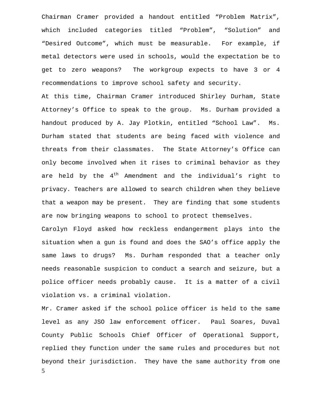Chairman Cramer provided a handout entitled "Problem Matrix", which included categories titled "Problem", "Solution" and "Desired Outcome", which must be measurable. For example, if metal detectors were used in schools, would the expectation be to get to zero weapons? The workgroup expects to have 3 or 4 recommendations to improve school safety and security.

At this time, Chairman Cramer introduced Shirley Durham, State Attorney's Office to speak to the group. Ms. Durham provided a handout produced by A. Jay Plotkin, entitled "School Law". Ms. Durham stated that students are being faced with violence and threats from their classmates. The State Attorney's Office can only become involved when it rises to criminal behavior as they are held by the  $4^{th}$  Amendment and the individual's right to privacy. Teachers are allowed to search children when they believe that a weapon may be present. They are finding that some students are now bringing weapons to school to protect themselves.

Carolyn Floyd asked how reckless endangerment plays into the situation when a gun is found and does the SAO's office apply the same laws to drugs? Ms. Durham responded that a teacher only needs reasonable suspicion to conduct a search and seizure, but a police officer needs probably cause. It is a matter of a civil violation vs. a criminal violation.

5 Mr. Cramer asked if the school police officer is held to the same level as any JSO law enforcement officer. Paul Soares, Duval County Public Schools Chief Officer of Operational Support, replied they function under the same rules and procedures but not beyond their jurisdiction. They have the same authority from one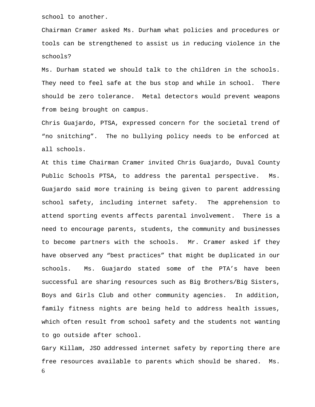school to another.

Chairman Cramer asked Ms. Durham what policies and procedures or tools can be strengthened to assist us in reducing violence in the schools?

Ms. Durham stated we should talk to the children in the schools. They need to feel safe at the bus stop and while in school. There should be zero tolerance. Metal detectors would prevent weapons from being brought on campus.

Chris Guajardo, PTSA, expressed concern for the societal trend of "no snitching". The no bullying policy needs to be enforced at all schools.

At this time Chairman Cramer invited Chris Guajardo, Duval County Public Schools PTSA, to address the parental perspective. Ms. Guajardo said more training is being given to parent addressing school safety, including internet safety. The apprehension to attend sporting events affects parental involvement. There is a need to encourage parents, students, the community and businesses to become partners with the schools. Mr. Cramer asked if they have observed any "best practices" that might be duplicated in our schools. Ms. Guajardo stated some of the PTA's have been successful are sharing resources such as Big Brothers/Big Sisters, Boys and Girls Club and other community agencies. In addition, family fitness nights are being held to address health issues, which often result from school safety and the students not wanting to go outside after school.

6 Gary Killam, JSO addressed internet safety by reporting there are free resources available to parents which should be shared. Ms.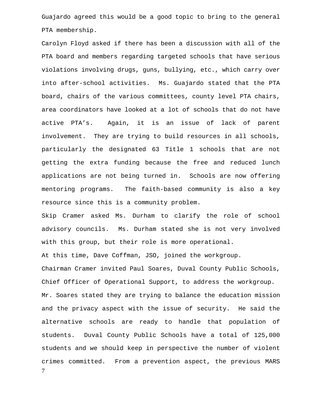Guajardo agreed this would be a good topic to bring to the general PTA membership.

Carolyn Floyd asked if there has been a discussion with all of the PTA board and members regarding targeted schools that have serious violations involving drugs, guns, bullying, etc., which carry over into after-school activities. Ms. Guajardo stated that the PTA board, chairs of the various committees, county level PTA chairs, area coordinators have looked at a lot of schools that do not have active PTA's. Again, it is an issue of lack of parent involvement. They are trying to build resources in all schools, particularly the designated 63 Title 1 schools that are not getting the extra funding because the free and reduced lunch applications are not being turned in. Schools are now offering mentoring programs. The faith-based community is also a key resource since this is a community problem.

Skip Cramer asked Ms. Durham to clarify the role of school advisory councils. Ms. Durham stated she is not very involved with this group, but their role is more operational.

At this time, Dave Coffman, JSO, joined the workgroup.

7 Chairman Cramer invited Paul Soares, Duval County Public Schools, Chief Officer of Operational Support, to address the workgroup. Mr. Soares stated they are trying to balance the education mission and the privacy aspect with the issue of security. He said the alternative schools are ready to handle that population of students. Duval County Public Schools have a total of 125,000 students and we should keep in perspective the number of violent crimes committed. From a prevention aspect, the previous MARS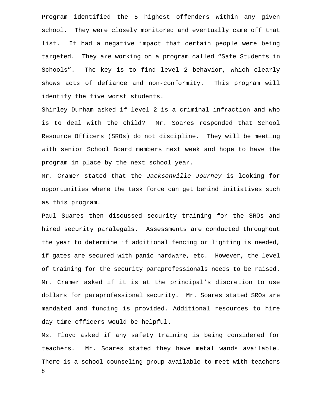Program identified the 5 highest offenders within any given school. They were closely monitored and eventually came off that list. It had a negative impact that certain people were being targeted. They are working on a program called "Safe Students in Schools". The key is to find level 2 behavior, which clearly shows acts of defiance and non-conformity. This program will identify the five worst students.

Shirley Durham asked if level 2 is a criminal infraction and who is to deal with the child? Mr. Soares responded that School Resource Officers (SROs) do not discipline. They will be meeting with senior School Board members next week and hope to have the program in place by the next school year.

Mr. Cramer stated that the *Jacksonville Journey* is looking for opportunities where the task force can get behind initiatives such as this program.

Paul Suares then discussed security training for the SROs and hired security paralegals. Assessments are conducted throughout the year to determine if additional fencing or lighting is needed, if gates are secured with panic hardware, etc. However, the level of training for the security paraprofessionals needs to be raised. Mr. Cramer asked if it is at the principal's discretion to use dollars for paraprofessional security. Mr. Soares stated SROs are mandated and funding is provided. Additional resources to hire day-time officers would be helpful.

8 Ms. Floyd asked if any safety training is being considered for teachers. Mr. Soares stated they have metal wands available. There is a school counseling group available to meet with teachers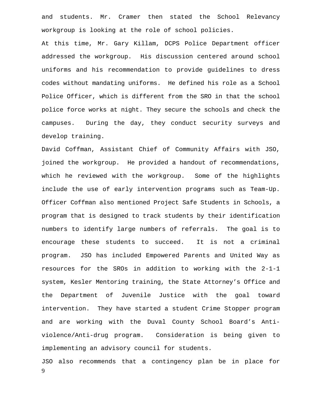and students. Mr. Cramer then stated the School Relevancy workgroup is looking at the role of school policies.

At this time, Mr. Gary Killam, DCPS Police Department officer addressed the workgroup. His discussion centered around school uniforms and his recommendation to provide guidelines to dress codes without mandating uniforms. He defined his role as a School Police Officer, which is different from the SRO in that the school police force works at night. They secure the schools and check the campuses. During the day, they conduct security surveys and develop training.

David Coffman, Assistant Chief of Community Affairs with JSO, joined the workgroup. He provided a handout of recommendations, which he reviewed with the workgroup. Some of the highlights include the use of early intervention programs such as Team-Up. Officer Coffman also mentioned Project Safe Students in Schools, a program that is designed to track students by their identification numbers to identify large numbers of referrals. The goal is to encourage these students to succeed. It is not a criminal program. JSO has included Empowered Parents and United Way as resources for the SROs in addition to working with the 2-1-1 system, Kesler Mentoring training, the State Attorney's Office and the Department of Juvenile Justice with the goal toward intervention. They have started a student Crime Stopper program and are working with the Duval County School Board's Antiviolence/Anti-drug program. Consideration is being given to implementing an advisory council for students.

9 JSO also recommends that a contingency plan be in place for